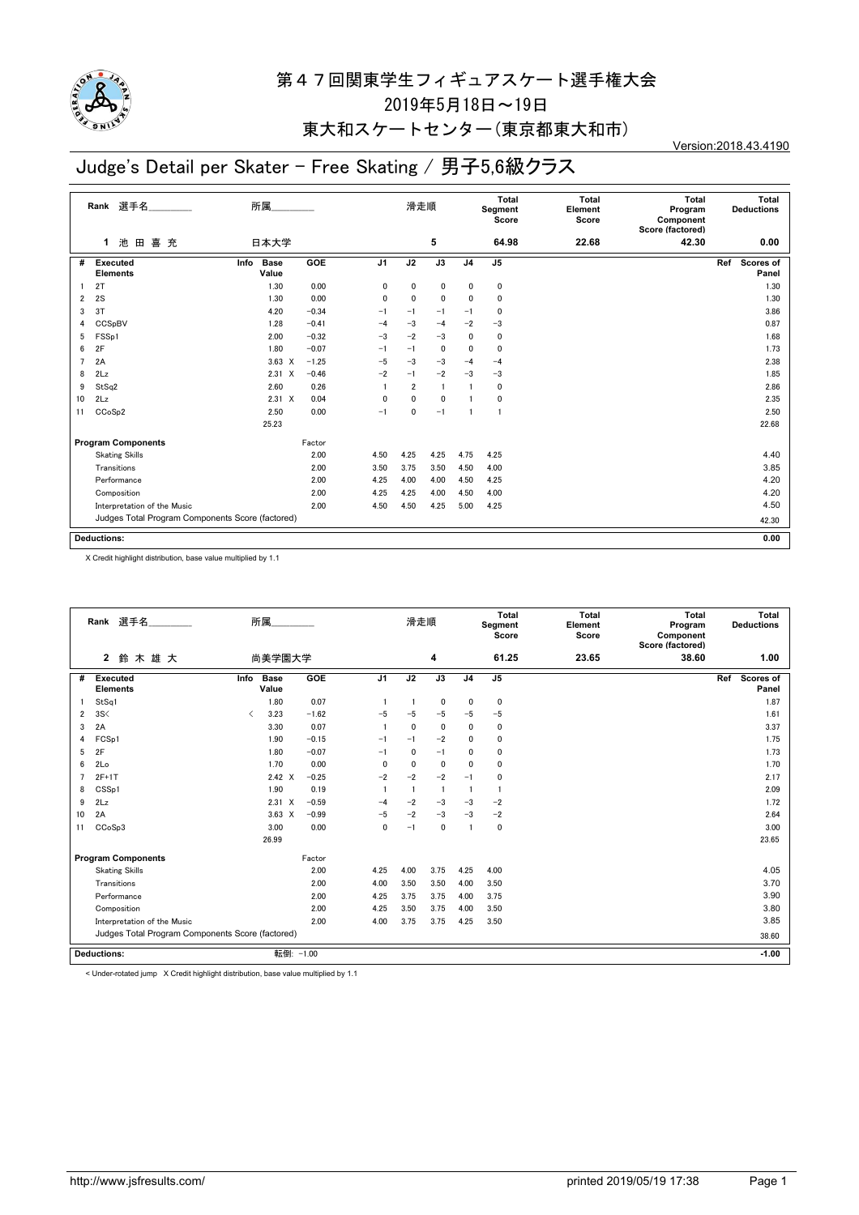

### 東大和スケートセンター(東京都東大和市)

# Judge's Detail per Skater - Free Skating / 男子5,6級クラス

| Rank 選手名       |                                                  | 所属                           |         | 滑走順            |                |                 | Total<br>Segment<br>Score | <b>Total</b><br>Element<br>Score | Total<br>Program<br>Component<br>Score (factored) | Total<br><b>Deductions</b> |                           |
|----------------|--------------------------------------------------|------------------------------|---------|----------------|----------------|-----------------|---------------------------|----------------------------------|---------------------------------------------------|----------------------------|---------------------------|
|                | 池田<br>喜 充<br>$\mathbf{1}$                        | 日本大学                         |         |                |                | 5               |                           | 64.98                            | 22.68                                             | 42.30                      | 0.00                      |
| #              | <b>Executed</b><br><b>Elements</b>               | <b>Base</b><br>Info<br>Value | GOE     | J <sub>1</sub> | J2             | $\overline{J3}$ | J <sub>4</sub>            | J <sub>5</sub>                   |                                                   |                            | Ref<br>Scores of<br>Panel |
|                | 2T                                               | 1.30                         | 0.00    | 0              | 0              | 0               | 0                         | 0                                |                                                   |                            | 1.30                      |
| 2              | 2S                                               | 1.30                         | 0.00    | 0              | 0              | $\mathbf 0$     | $\mathbf{0}$              | 0                                |                                                   |                            | 1.30                      |
| 3              | 3T                                               | 4.20                         | $-0.34$ | $-1$           | $-1$           | $-1$            | $-1$                      | 0                                |                                                   |                            | 3.86                      |
| 4              | CCSpBV                                           | 1.28                         | $-0.41$ | $-4$           | $-3$           | $-4$            | $-2$                      | $-3$                             |                                                   |                            | 0.87                      |
| 5              | FSSp1                                            | 2.00                         | $-0.32$ | $-3$           | $-2$           | $-3$            | $\mathbf{0}$              | 0                                |                                                   |                            | 1.68                      |
| 6              | 2F                                               | 1.80                         | $-0.07$ | $-1$           | $-1$           | $\mathbf 0$     | $\mathbf{0}$              | 0                                |                                                   |                            | 1.73                      |
| $\overline{7}$ | 2A                                               | $3.63 \times$                | $-1.25$ | $-5$           | $-3$           | $-3$            | $-4$                      | $-4$                             |                                                   |                            | 2.38                      |
| 8              | 2Lz                                              | $2.31 \times$                | $-0.46$ | $-2$           | $-1$           | $-2$            | $-3$                      | $-3$                             |                                                   |                            | 1.85                      |
| 9              | StSq2                                            | 2.60                         | 0.26    |                | $\overline{2}$ | $\blacksquare$  |                           | 0                                |                                                   |                            | 2.86                      |
| 10             | 2Lz                                              | $2.31 \t X$                  | 0.04    | $\mathbf 0$    | $\mathbf{0}$   | $\mathbf{0}$    |                           | 0                                |                                                   |                            | 2.35                      |
| 11             | CCoSp2                                           | 2.50                         | 0.00    | $-1$           | 0              | $-1$            | $\mathbf{1}$              | $\mathbf{1}$                     |                                                   |                            | 2.50                      |
|                |                                                  | 25.23                        |         |                |                |                 |                           |                                  |                                                   |                            | 22.68                     |
|                | <b>Program Components</b>                        |                              | Factor  |                |                |                 |                           |                                  |                                                   |                            |                           |
|                | <b>Skating Skills</b>                            |                              | 2.00    | 4.50           | 4.25           | 4.25            | 4.75                      | 4.25                             |                                                   |                            | 4.40                      |
|                | Transitions                                      |                              | 2.00    | 3.50           | 3.75           | 3.50            | 4.50                      | 4.00                             |                                                   |                            | 3.85                      |
|                | Performance                                      |                              | 2.00    | 4.25           | 4.00           | 4.00            | 4.50                      | 4.25                             |                                                   |                            | 4.20                      |
|                | Composition                                      |                              | 2.00    | 4.25           | 4.25           | 4.00            | 4.50                      | 4.00                             |                                                   |                            | 4.20                      |
|                | Interpretation of the Music                      |                              | 2.00    | 4.50           | 4.50           | 4.25            | 5.00                      | 4.25                             |                                                   |                            | 4.50                      |
|                | Judges Total Program Components Score (factored) |                              |         |                |                |                 |                           |                                  |                                                   |                            | 42.30                     |
|                |                                                  |                              |         |                |                |                 |                           |                                  |                                                   |                            |                           |
|                | <b>Deductions:</b>                               |                              |         |                |                |                 |                           |                                  |                                                   |                            | 0.00                      |

X Credit highlight distribution, base value multiplied by 1.1

|    | Rank 選手名<br>所属                                   |                                       |           |                | 滑走順            |                | <b>Total</b><br>Segment<br>Score |                | <b>Total</b><br>Element<br>Score | Total<br>Program<br>Component<br>Score (factored) | <b>Total</b><br><b>Deductions</b> |
|----|--------------------------------------------------|---------------------------------------|-----------|----------------|----------------|----------------|----------------------------------|----------------|----------------------------------|---------------------------------------------------|-----------------------------------|
|    | $\mathbf{2}$<br>鈴木雄大                             | 尚美学園大学                                |           |                |                | 4              |                                  | 61.25          | 23.65                            | 38.60                                             | 1.00                              |
| #  | <b>Executed</b><br><b>Elements</b>               | <b>Base</b><br>Info<br>Value          | GOE       | J <sub>1</sub> | J2             | J3             | J <sub>4</sub>                   | J <sub>5</sub> |                                  |                                                   | Scores of<br>Ref<br>Panel         |
|    | StSq1                                            | 1.80                                  | 0.07      |                |                | $\mathbf 0$    | 0                                | $\mathbf 0$    |                                  |                                                   | 1.87                              |
| 2  | 3S<                                              | 3.23<br>$\overline{\left( \right. }%$ | $-1.62$   | $-5$           | $-5$           | $-5$           | $-5$                             | $-5$           |                                  |                                                   | 1.61                              |
| 3  | 2A                                               | 3.30                                  | 0.07      |                | $\mathbf{0}$   | $\mathbf{0}$   | 0                                | $\mathbf 0$    |                                  |                                                   | 3.37                              |
| 4  | FCSp1                                            | 1.90                                  | $-0.15$   | $-1$           | $-1$           | $-2$           | 0                                | $\mathbf 0$    |                                  |                                                   | 1.75                              |
| 5  | 2F                                               | 1.80                                  | $-0.07$   | $-1$           | $\mathbf{0}$   | $-1$           | $\mathbf{0}$                     | $\mathbf 0$    |                                  |                                                   | 1.73                              |
| 6  | 2Lo                                              | 1.70                                  | 0.00      | $\mathbf{0}$   | $\mathbf{0}$   | $\mathbf{0}$   | 0                                | $\mathbf 0$    |                                  |                                                   | 1.70                              |
|    | $2F+1T$                                          | $2.42 \times$                         | $-0.25$   | $-2$           | $-2$           | $-2$           | $-1$                             | $\mathbf 0$    |                                  |                                                   | 2.17                              |
| 8  | CSSp1                                            | 1.90                                  | 0.19      | $\overline{1}$ | $\overline{1}$ | $\overline{1}$ | $\mathbf{1}$                     | $\overline{1}$ |                                  |                                                   | 2.09                              |
| 9  | 2Lz                                              | $2.31 \t X$                           | $-0.59$   | $-4$           | $-2$           | $-3$           | $-3$                             | $-2$           |                                  |                                                   | 1.72                              |
| 10 | 2A                                               | $3.63 \times$                         | $-0.99$   | $-5$           | $-2$           | $-3$           | $-3$                             | $-2$           |                                  |                                                   | 2.64                              |
| 11 | CCoSp3                                           | 3.00                                  | 0.00      | 0              | $-1$           | $\mathbf 0$    | $\mathbf{1}$                     | $\mathbf 0$    |                                  |                                                   | 3.00                              |
|    |                                                  | 26.99                                 |           |                |                |                |                                  |                |                                  |                                                   | 23.65                             |
|    | <b>Program Components</b>                        |                                       | Factor    |                |                |                |                                  |                |                                  |                                                   |                                   |
|    | <b>Skating Skills</b>                            |                                       | 2.00      | 4.25           | 4.00           | 3.75           | 4.25                             | 4.00           |                                  |                                                   | 4.05                              |
|    | Transitions                                      |                                       | 2.00      | 4.00           | 3.50           | 3.50           | 4.00                             | 3.50           |                                  |                                                   | 3.70                              |
|    | Performance                                      |                                       | 2.00      | 4.25           | 3.75           | 3.75           | 4.00                             | 3.75           |                                  |                                                   | 3.90                              |
|    | Composition                                      |                                       | 2.00      | 4.25           | 3.50           | 3.75           | 4.00                             | 3.50           |                                  |                                                   | 3.80                              |
|    | Interpretation of the Music                      |                                       | 2.00      | 4.00           | 3.75           | 3.75           | 4.25                             | 3.50           |                                  |                                                   | 3.85                              |
|    | Judges Total Program Components Score (factored) |                                       |           |                |                |                |                                  |                |                                  |                                                   | 38.60                             |
|    | <b>Deductions:</b>                               |                                       | 転倒: -1.00 |                |                |                |                                  |                |                                  |                                                   | $-1.00$                           |

< Under-rotated jump X Credit highlight distribution, base value multiplied by 1.1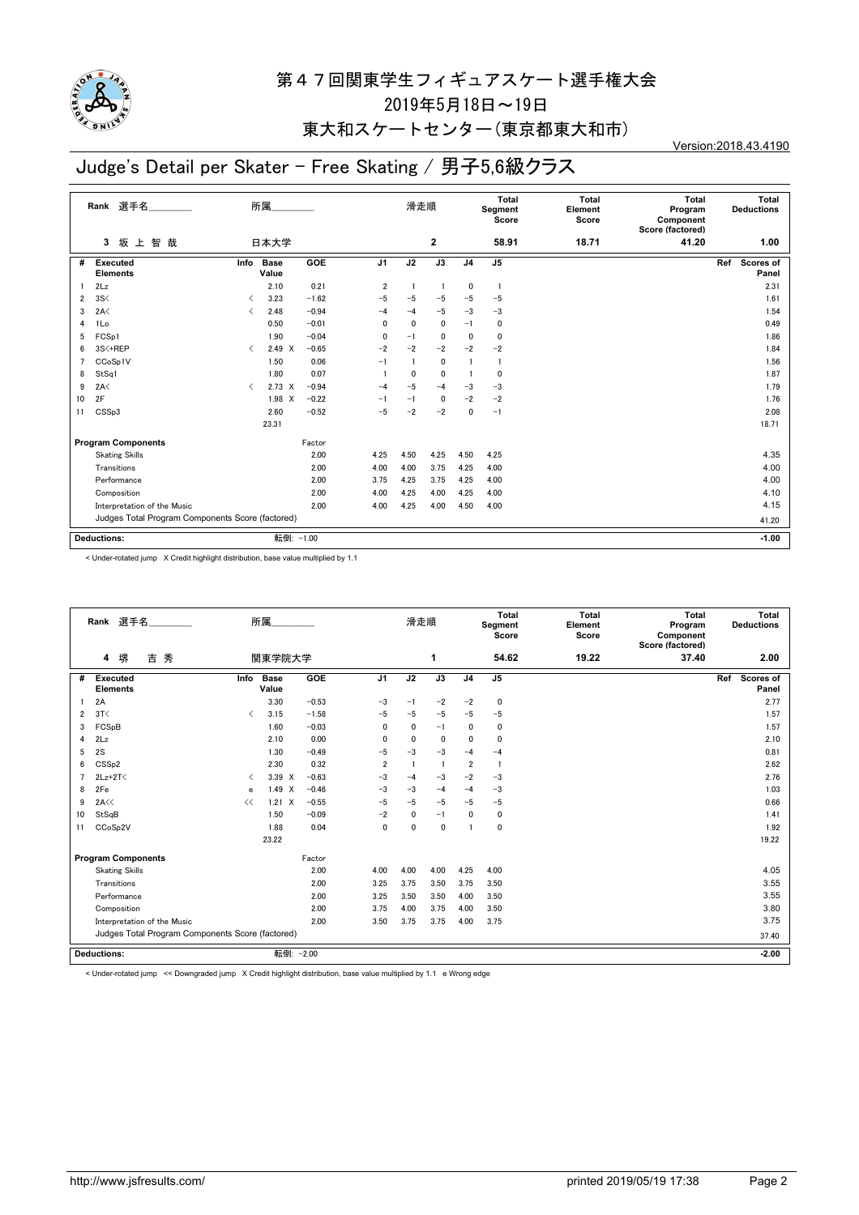

### 東大和スケートセンター(東京都東大和市)

# Judge's Detail per Skater - Free Skating / 男子5,6級クラス

| Rank 選手名 |                                                  | 所属                                       |                      |         |                | 滑走順         |                 |                | Total<br>Segment<br>Score | <b>Total</b><br>Element<br>Score | Total<br>Program<br>Component<br>Score (factored) | Total<br><b>Deductions</b> |
|----------|--------------------------------------------------|------------------------------------------|----------------------|---------|----------------|-------------|-----------------|----------------|---------------------------|----------------------------------|---------------------------------------------------|----------------------------|
|          | 智<br>坂上<br>3<br>哉                                |                                          | 日本大学                 |         |                |             | $\overline{2}$  |                | 58.91                     | 18.71                            | 41.20                                             | 1.00                       |
| #        | Executed<br><b>Elements</b>                      | Info                                     | <b>Base</b><br>Value | GOE     | J <sub>1</sub> | J2          | $\overline{J3}$ | J <sub>4</sub> | J <sub>5</sub>            |                                  |                                                   | Ref<br>Scores of<br>Panel  |
|          | 2Lz                                              |                                          | 2.10                 | 0.21    | $\overline{2}$ |             |                 | 0              | $\mathbf{1}$              |                                  |                                                   | 2.31                       |
| 2        | 3S<                                              | ≺                                        | 3.23                 | $-1.62$ | $-5$           | $-5$        | $-5$            | $-5$           | $-5$                      |                                  |                                                   | 1.61                       |
| 3        | 2A<                                              | $\overline{\left\langle \right\rangle }$ | 2.48                 | $-0.94$ | $-4$           | $-4$        | $-5$            | $-3$           | $-3$                      |                                  |                                                   | 1.54                       |
| 4        | 1Lo                                              |                                          | 0.50                 | $-0.01$ | $\mathbf{0}$   | $\mathbf 0$ | 0               | $-1$           | 0                         |                                  |                                                   | 0.49                       |
| 5        | FCS <sub>p1</sub>                                |                                          | 1.90                 | $-0.04$ | 0              | $-1$        | $\mathbf 0$     | $\mathbf{0}$   | 0                         |                                  |                                                   | 1.86                       |
| 6        | 3S<+REP                                          | $\overline{\left\langle \right\rangle }$ | $2.49 \times$        | $-0.65$ | $-2$           | $-2$        | $-2$            | $-2$           | $-2$                      |                                  |                                                   | 1.84                       |
| 7        | CCoSp1V                                          |                                          | 1.50                 | 0.06    | $-1$           |             | 0               |                | $\mathbf{1}$              |                                  |                                                   | 1.56                       |
| 8        | StSq1                                            |                                          | 1.80                 | 0.07    |                | 0           | $\mathbf 0$     | -1             | 0                         |                                  |                                                   | 1.87                       |
| 9        | 2A<                                              | $\overline{\left( \right. }%$            | $2.73 \times$        | $-0.94$ | $-4$           | $-5$        | $-4$            | $-3$           | $-3$                      |                                  |                                                   | 1.79                       |
| 10       | 2F                                               |                                          | 1.98 X               | $-0.22$ | $-1$           | $-1$        | 0               | $-2$           | $-2$                      |                                  |                                                   | 1.76                       |
| 11       | CSSp3                                            |                                          | 2.60                 | $-0.52$ | $-5$           | $-2$        | $-2$            | $\mathbf{0}$   | $-1$                      |                                  |                                                   | 2.08                       |
|          |                                                  |                                          | 23.31                |         |                |             |                 |                |                           |                                  |                                                   | 18.71                      |
|          | <b>Program Components</b>                        |                                          |                      | Factor  |                |             |                 |                |                           |                                  |                                                   |                            |
|          | <b>Skating Skills</b>                            |                                          |                      | 2.00    | 4.25           | 4.50        | 4.25            | 4.50           | 4.25                      |                                  |                                                   | 4.35                       |
|          | Transitions                                      |                                          |                      | 2.00    | 4.00           | 4.00        | 3.75            | 4.25           | 4.00                      |                                  |                                                   | 4.00                       |
|          | Performance                                      |                                          |                      | 2.00    | 3.75           | 4.25        | 3.75            | 4.25           | 4.00                      |                                  |                                                   | 4.00                       |
|          | Composition                                      |                                          |                      | 2.00    | 4.00           | 4.25        | 4.00            | 4.25           | 4.00                      |                                  |                                                   | 4.10                       |
|          | Interpretation of the Music                      |                                          |                      | 2.00    | 4.00           | 4.25        | 4.00            | 4.50           | 4.00                      |                                  |                                                   | 4.15                       |
|          | Judges Total Program Components Score (factored) |                                          |                      |         |                |             |                 |                |                           |                                  |                                                   | 41.20                      |
|          | <b>Deductions:</b>                               |                                          | 転倒: -1.00            |         |                |             |                 |                |                           |                                  |                                                   | $-1.00$                    |

< Under-rotated jump X Credit highlight distribution, base value multiplied by 1.1

|                | 選手名<br>Rank                                      | 所属                            |                      |            |                | 滑走順            |                |                | Total<br>Segment<br>Score | <b>Total</b><br>Element<br>Score | Total<br>Program<br>Component<br>Score (factored) | Total<br><b>Deductions</b> |
|----------------|--------------------------------------------------|-------------------------------|----------------------|------------|----------------|----------------|----------------|----------------|---------------------------|----------------------------------|---------------------------------------------------|----------------------------|
|                | 秀<br>堺<br>吉<br>4                                 |                               | 関東学院大学               |            |                |                | 1              |                | 54.62                     | 19.22                            | 37.40                                             | 2.00                       |
| #              | <b>Executed</b><br><b>Elements</b>               | Info                          | <b>Base</b><br>Value | <b>GOE</b> | J <sub>1</sub> | J2             | J3             | J <sub>4</sub> | J <sub>5</sub>            |                                  |                                                   | Scores of<br>Ref<br>Panel  |
|                | 2A                                               |                               | 3.30                 | $-0.53$    | $-3$           | $-1$           | $-2$           | $-2$           | 0                         |                                  |                                                   | 2.77                       |
| 2              | 3T<                                              | $\overline{\left( \right. }%$ | 3.15                 | $-1.58$    | $-5$           | $-5$           | $-5$           | $-5$           | $-5$                      |                                  |                                                   | 1.57                       |
| 3              | FCSpB                                            |                               | 1.60                 | $-0.03$    | $\mathbf{0}$   | $\mathbf{0}$   | $-1$           | $\mathbf{0}$   | 0                         |                                  |                                                   | 1.57                       |
| 4              | 2Lz                                              |                               | 2.10                 | 0.00       | 0              | 0              | 0              | 0              | $\mathbf 0$               |                                  |                                                   | 2.10                       |
| 5              | 2S                                               |                               | 1.30                 | $-0.49$    | $-5$           | $-3$           | $-3$           | $-4$           | $-4$                      |                                  |                                                   | 0.81                       |
| 6              | CSS <sub>p2</sub>                                |                               | 2.30                 | 0.32       | $\overline{2}$ | $\overline{1}$ | $\overline{1}$ | $\overline{2}$ | $\mathbf{1}$              |                                  |                                                   | 2.62                       |
| $\overline{7}$ | $2Lz+2T<$                                        | ≺                             | 3.39 X               | $-0.63$    | $-3$           | $-4$           | $-3$           | $-2$           | $-3$                      |                                  |                                                   | 2.76                       |
| 8              | 2Fe                                              | e                             | 1.49 X               | $-0.46$    | $-3$           | $-3$           | $-4$           | $-4$           | $-3$                      |                                  |                                                   | 1.03                       |
| 9              | 2A<<                                             | <<                            | $1.21 \times$        | $-0.55$    | $-5$           | $-5$           | $-5$           | $-5$           | $-5$                      |                                  |                                                   | 0.66                       |
| 10             | StSqB                                            |                               | 1.50                 | $-0.09$    | $-2$           | $\mathbf{0}$   | $-1$           | $\mathbf{0}$   | 0                         |                                  |                                                   | 1.41                       |
| 11             | CCoSp2V                                          |                               | 1.88                 | 0.04       | 0              | 0              | 0              | $\overline{1}$ | $\mathbf 0$               |                                  |                                                   | 1.92                       |
|                |                                                  |                               | 23.22                |            |                |                |                |                |                           |                                  |                                                   | 19.22                      |
|                | <b>Program Components</b>                        |                               |                      | Factor     |                |                |                |                |                           |                                  |                                                   |                            |
|                | <b>Skating Skills</b>                            |                               |                      | 2.00       | 4.00           | 4.00           | 4.00           | 4.25           | 4.00                      |                                  |                                                   | 4.05                       |
|                | Transitions                                      |                               |                      | 2.00       | 3.25           | 3.75           | 3.50           | 3.75           | 3.50                      |                                  |                                                   | 3.55                       |
|                | Performance                                      |                               |                      | 2.00       | 3.25           | 3.50           | 3.50           | 4.00           | 3.50                      |                                  |                                                   | 3.55                       |
|                | Composition                                      |                               |                      | 2.00       | 3.75           | 4.00           | 3.75           | 4.00           | 3.50                      |                                  |                                                   | 3.80                       |
|                | Interpretation of the Music                      |                               |                      | 2.00       | 3.50           | 3.75           | 3.75           | 4.00           | 3.75                      |                                  |                                                   | 3.75                       |
|                | Judges Total Program Components Score (factored) |                               |                      |            |                |                |                |                |                           |                                  |                                                   | 37.40                      |
|                | <b>Deductions:</b>                               |                               | 転倒: - 2.00           |            |                |                |                |                |                           |                                  |                                                   | $-2.00$                    |

< Under-rotated jump << Downgraded jump X Credit highlight distribution, base value multiplied by 1.1 e Wrong edge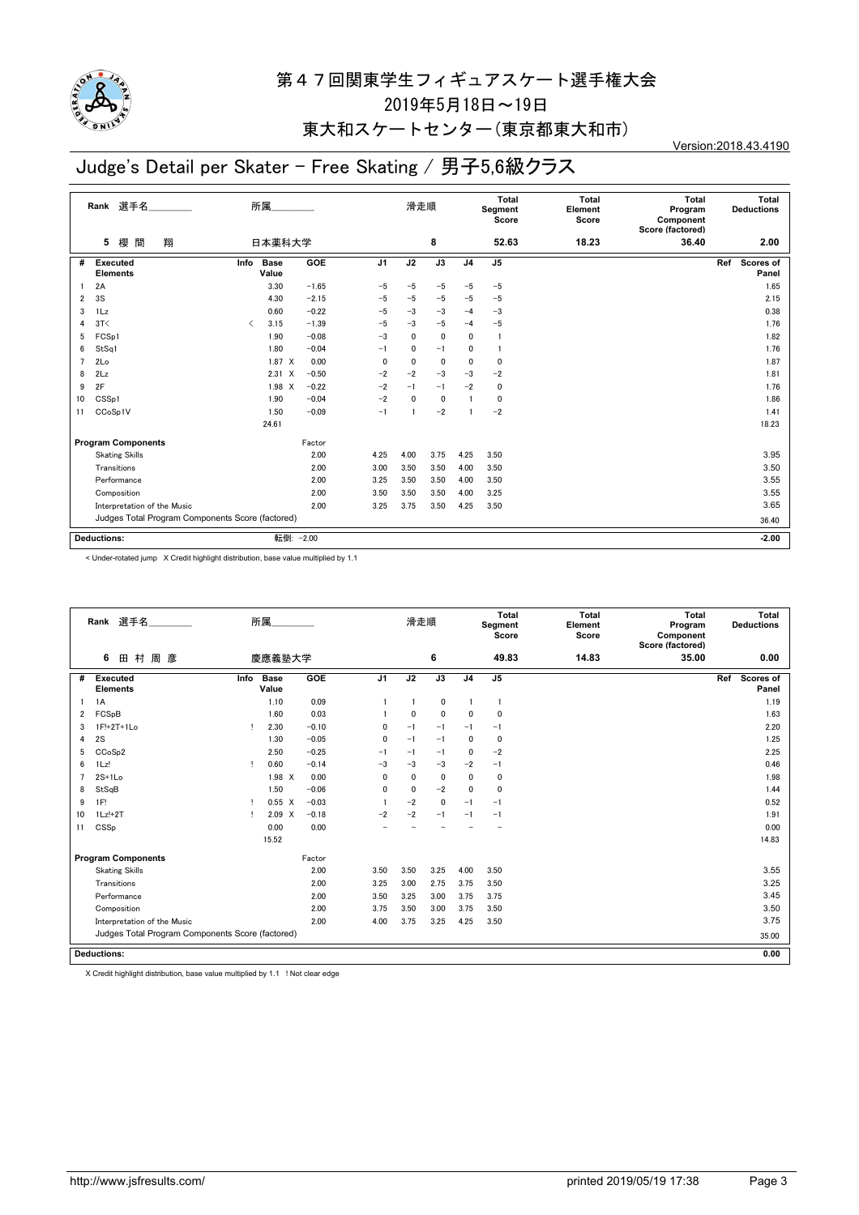

### 東大和スケートセンター(東京都東大和市)

# Judge's Detail per Skater - Free Skating / 男子5,6級クラス

|                | Rank 選手名<br>所属                                   |                               |                      |         |                | 滑走順          |                 |                | Total<br>Segment<br>Score | <b>Total</b><br>Element<br>Score | Total<br>Program<br>Component<br>Score (factored) | Total<br><b>Deductions</b> |
|----------------|--------------------------------------------------|-------------------------------|----------------------|---------|----------------|--------------|-----------------|----------------|---------------------------|----------------------------------|---------------------------------------------------|----------------------------|
|                | 櫻<br>間<br>翔<br>5                                 |                               | 日本薬科大学               |         |                |              | 8               |                | 52.63                     | 18.23                            | 36.40                                             | 2.00                       |
| #              | Executed<br><b>Elements</b>                      | Info                          | <b>Base</b><br>Value | GOE     | J <sub>1</sub> | J2           | $\overline{J3}$ | J <sub>4</sub> | J <sub>5</sub>            |                                  |                                                   | Ref<br>Scores of<br>Panel  |
|                | 2A                                               |                               | 3.30                 | $-1.65$ | $-5$           | $-5$         | $-5$            | $-5$           | $-5$                      |                                  |                                                   | 1.65                       |
| 2              | 3S                                               |                               | 4.30                 | $-2.15$ | $-5$           | $-5$         | $-5$            | $-5$           | $-5$                      |                                  |                                                   | 2.15                       |
| 3              | 1 <sub>Lz</sub>                                  |                               | 0.60                 | $-0.22$ | $-5$           | $-3$         | $-3$            | $-4$           | $-3$                      |                                  |                                                   | 0.38                       |
| 4              | 3T<                                              | $\overline{\left( \right. }%$ | 3.15                 | $-1.39$ | $-5$           | $-3$         | $-5$            | $-4$           | $-5$                      |                                  |                                                   | 1.76                       |
| 5              | FCS <sub>p1</sub>                                |                               | 1.90                 | $-0.08$ | $-3$           | $\mathbf{0}$ | 0               | $\mathbf{0}$   | $\mathbf{1}$              |                                  |                                                   | 1.82                       |
| 6              | StSq1                                            |                               | 1.80                 | $-0.04$ | $-1$           | 0            | $-1$            | 0              | $\overline{1}$            |                                  |                                                   | 1.76                       |
| $\overline{7}$ | 2Lo                                              |                               | $1.87 \t X$          | 0.00    | 0              | 0            | $\mathbf 0$     | $\mathbf{0}$   | 0                         |                                  |                                                   | 1.87                       |
| 8              | 2Lz                                              |                               | $2.31 \t X$          | $-0.50$ | $-2$           | $-2$         | $-3$            | $-3$           | $-2$                      |                                  |                                                   | 1.81                       |
| 9              | 2F                                               |                               | $1.98 \times$        | $-0.22$ | $-2$           | $-1$         | $-1$            | $-2$           | 0                         |                                  |                                                   | 1.76                       |
| 10             | CSS <sub>p1</sub>                                |                               | 1.90                 | $-0.04$ | $-2$           | 0            | $\mathbf 0$     |                | 0                         |                                  |                                                   | 1.86                       |
| 11             | CCoSp1V                                          |                               | 1.50                 | $-0.09$ | $-1$           |              | $-2$            |                | $-2$                      |                                  |                                                   | 1.41                       |
|                |                                                  |                               | 24.61                |         |                |              |                 |                |                           |                                  |                                                   | 18.23                      |
|                | <b>Program Components</b>                        |                               |                      | Factor  |                |              |                 |                |                           |                                  |                                                   |                            |
|                | <b>Skating Skills</b>                            |                               |                      | 2.00    | 4.25           | 4.00         | 3.75            | 4.25           | 3.50                      |                                  |                                                   | 3.95                       |
|                | Transitions                                      |                               |                      | 2.00    | 3.00           | 3.50         | 3.50            | 4.00           | 3.50                      |                                  |                                                   | 3.50                       |
|                | Performance                                      |                               |                      | 2.00    | 3.25           | 3.50         | 3.50            | 4.00           | 3.50                      |                                  |                                                   | 3.55                       |
|                | Composition                                      |                               |                      | 2.00    | 3.50           | 3.50         | 3.50            | 4.00           | 3.25                      |                                  |                                                   | 3.55                       |
|                | Interpretation of the Music                      |                               |                      | 2.00    | 3.25           | 3.75         | 3.50            | 4.25           | 3.50                      |                                  |                                                   | 3.65                       |
|                | Judges Total Program Components Score (factored) |                               |                      |         |                |              |                 |                |                           |                                  |                                                   | 36.40                      |
|                | <b>Deductions:</b>                               |                               | 転倒: -2.00            |         |                |              |                 |                |                           |                                  |                                                   | $-2.00$                    |

< Under-rotated jump X Credit highlight distribution, base value multiplied by 1.1

|    | 選手名<br>Rank                                      | 所属   |                      |         |                | 滑走順                     |              |                | Total<br>Segment<br>Score | <b>Total</b><br>Element<br>Score | Total<br>Program<br>Component<br>Score (factored) | Total<br><b>Deductions</b> |
|----|--------------------------------------------------|------|----------------------|---------|----------------|-------------------------|--------------|----------------|---------------------------|----------------------------------|---------------------------------------------------|----------------------------|
|    | 村 周 彦<br>6<br>田                                  |      | 慶應義塾大学               |         |                |                         | 6            |                | 49.83                     | 14.83                            | 35.00                                             | 0.00                       |
| #  | <b>Executed</b><br><b>Elements</b>               | Info | <b>Base</b><br>Value | GOE     | J <sub>1</sub> | J2                      | J3           | J <sub>4</sub> | J <sub>5</sub>            |                                  |                                                   | Scores of<br>Ref<br>Panel  |
|    | 1A                                               |      | 1.10                 | 0.09    |                | $\overline{\mathbf{1}}$ | $\mathbf 0$  | -1             | -1                        |                                  |                                                   | 1.19                       |
| 2  | FCSpB                                            |      | 1.60                 | 0.03    |                | $\mathbf 0$             | $\mathbf 0$  | $\Omega$       | 0                         |                                  |                                                   | 1.63                       |
| 3  | 1F!+2T+1Lo                                       | л.   | 2.30                 | $-0.10$ | $\mathbf{0}$   | $-1$                    | $-1$         | $-1$           | $-1$                      |                                  |                                                   | 2.20                       |
| 4  | 2S                                               |      | 1.30                 | $-0.05$ | 0              | $-1$                    | $-1$         | $\mathbf 0$    | 0                         |                                  |                                                   | 1.25                       |
| 5  | CCoSp2                                           |      | 2.50                 | $-0.25$ | $-1$           | $-1$                    | $-1$         | $\mathbf{0}$   | $-2$                      |                                  |                                                   | 2.25                       |
| 6  | $1\mathsf{L}z!$                                  |      | 0.60                 | $-0.14$ | $-3$           | $-3$                    | $-3$         | $-2$           | $-1$                      |                                  |                                                   | 0.46                       |
| 7  | $2S+1Lo$                                         |      | $1.98 \times$        | 0.00    | 0              | $\mathbf 0$             | $\mathbf 0$  | $\mathbf 0$    | 0                         |                                  |                                                   | 1.98                       |
| 8  | StSqB                                            |      | 1.50                 | $-0.06$ | 0              | 0                       | $-2$         | $\Omega$       | 0                         |                                  |                                                   | 1.44                       |
| 9  | 1F!                                              |      | $0.55 \quad X$       | $-0.03$ |                | $-2$                    | $\mathbf{0}$ | $-1$           | $-1$                      |                                  |                                                   | 0.52                       |
| 10 | $1Lz!+2T$                                        |      | 2.09 X               | $-0.18$ | $-2$           | $-2$                    | $-1$         | $-1$           | $-1$                      |                                  |                                                   | 1.91                       |
| 11 | CSSp                                             |      | 0.00                 | 0.00    |                |                         |              |                |                           |                                  |                                                   | 0.00                       |
|    |                                                  |      | 15.52                |         |                |                         |              |                |                           |                                  |                                                   | 14.83                      |
|    | <b>Program Components</b>                        |      |                      | Factor  |                |                         |              |                |                           |                                  |                                                   |                            |
|    | <b>Skating Skills</b>                            |      |                      | 2.00    | 3.50           | 3.50                    | 3.25         | 4.00           | 3.50                      |                                  |                                                   | 3.55                       |
|    | Transitions                                      |      |                      | 2.00    | 3.25           | 3.00                    | 2.75         | 3.75           | 3.50                      |                                  |                                                   | 3.25                       |
|    | Performance                                      |      |                      | 2.00    | 3.50           | 3.25                    | 3.00         | 3.75           | 3.75                      |                                  |                                                   | 3.45                       |
|    | Composition                                      |      |                      | 2.00    | 3.75           | 3.50                    | 3.00         | 3.75           | 3.50                      |                                  |                                                   | 3.50                       |
|    | Interpretation of the Music                      |      |                      | 2.00    | 4.00           | 3.75                    | 3.25         | 4.25           | 3.50                      |                                  |                                                   | 3.75                       |
|    | Judges Total Program Components Score (factored) |      |                      |         |                |                         |              |                |                           |                                  |                                                   | 35.00                      |
|    | <b>Deductions:</b>                               |      |                      |         |                |                         |              |                |                           |                                  |                                                   | 0.00                       |

X Credit highlight distribution, base value multiplied by 1.1 ! Not clear edge